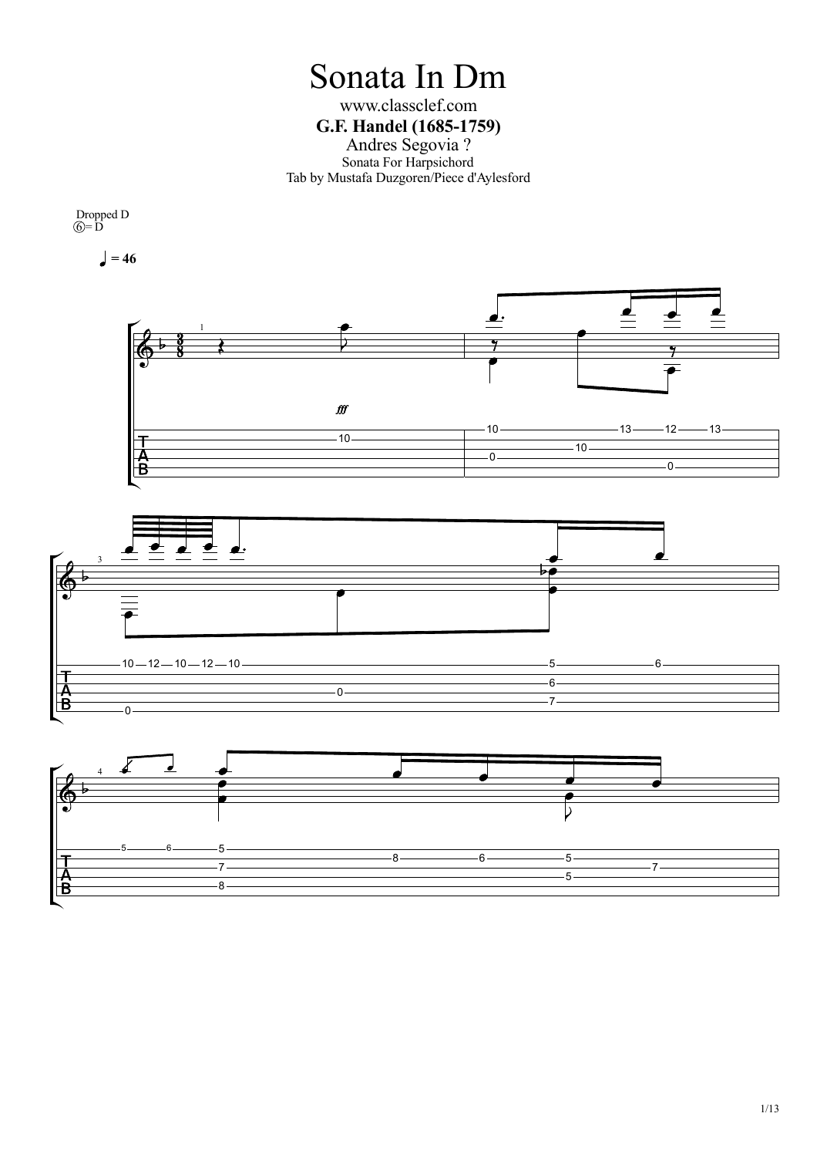## Sonata In Dm

www.classclef.com **G.F. Handel (1685-1759)** Andres Segovia ? Sonata For Harpsichord

Tab by Mustafa Duzgoren/Piece d'Aylesford

Dropped D  $\widehat{O} = \overline{D}$ 





1/13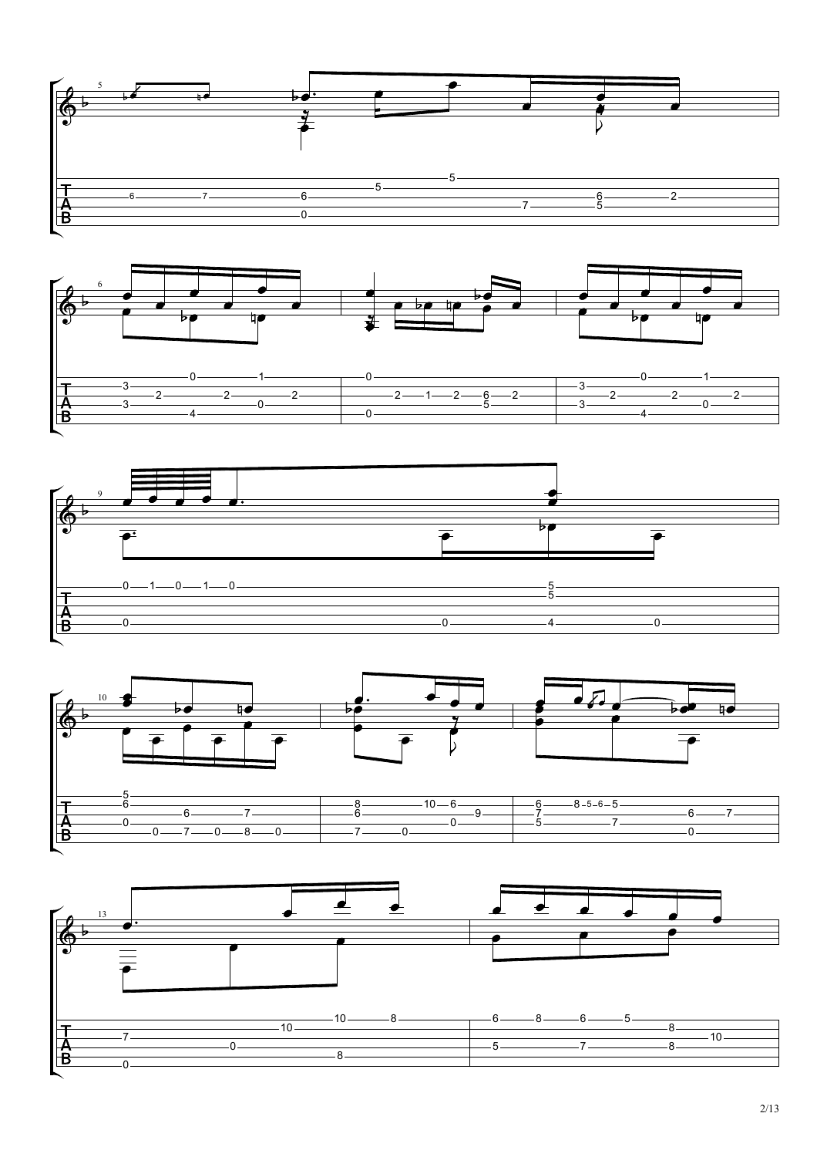







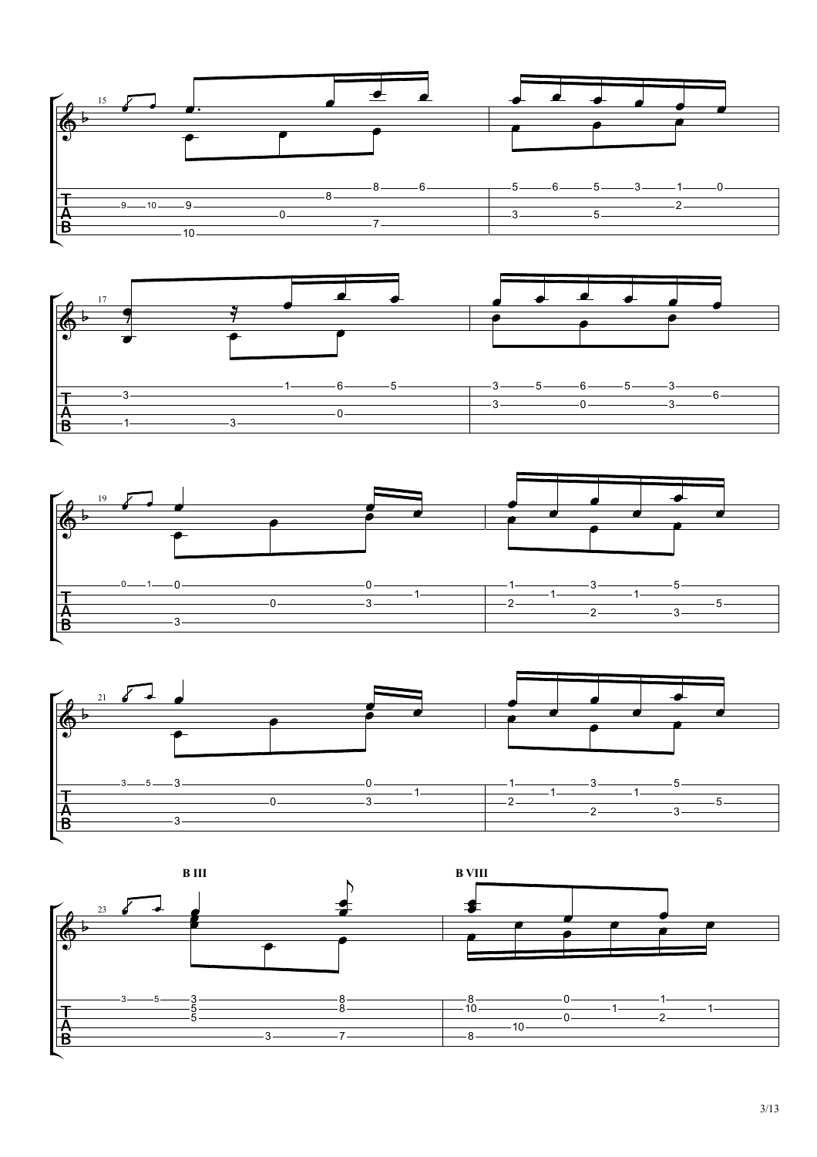







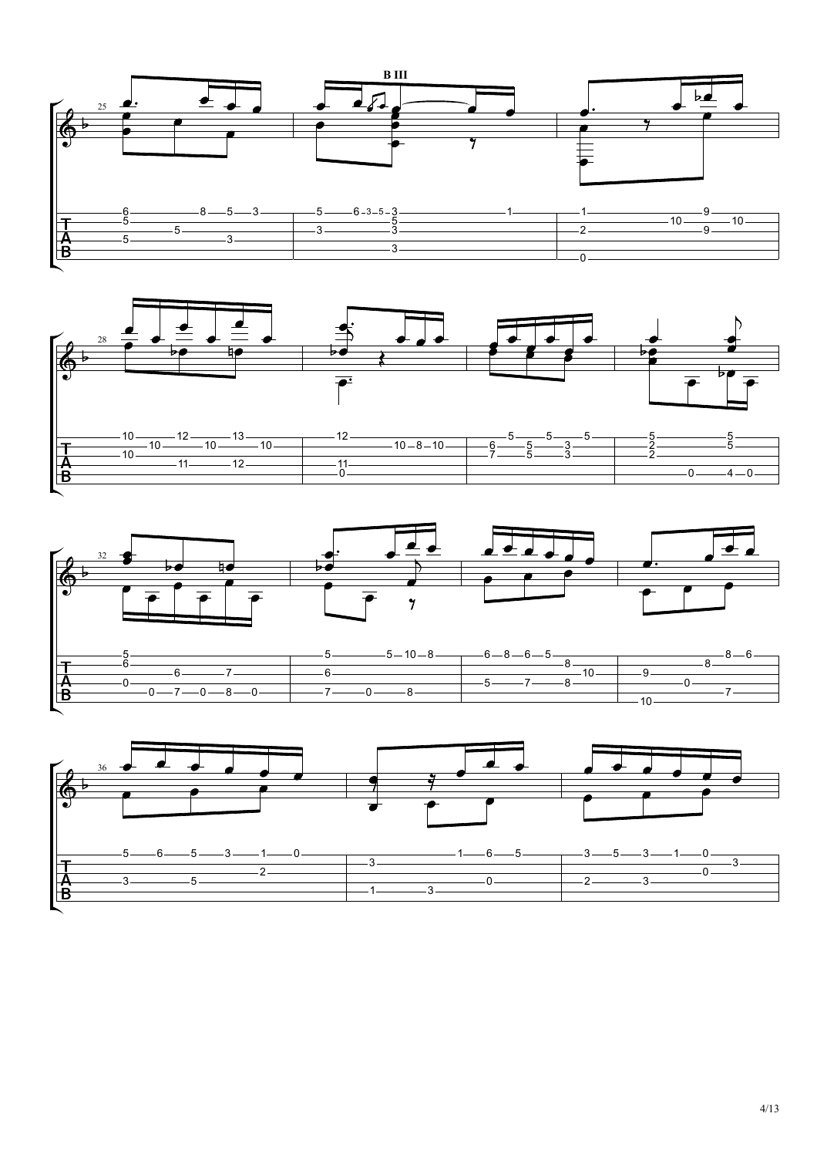





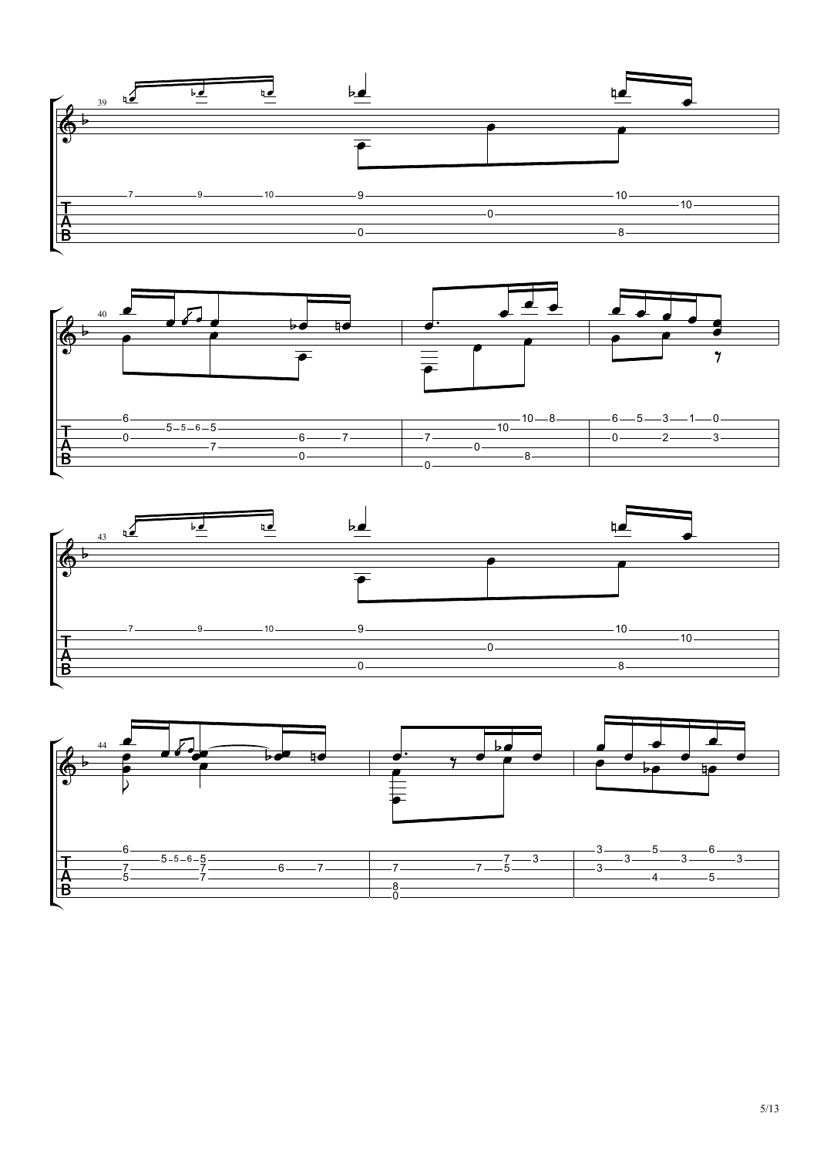





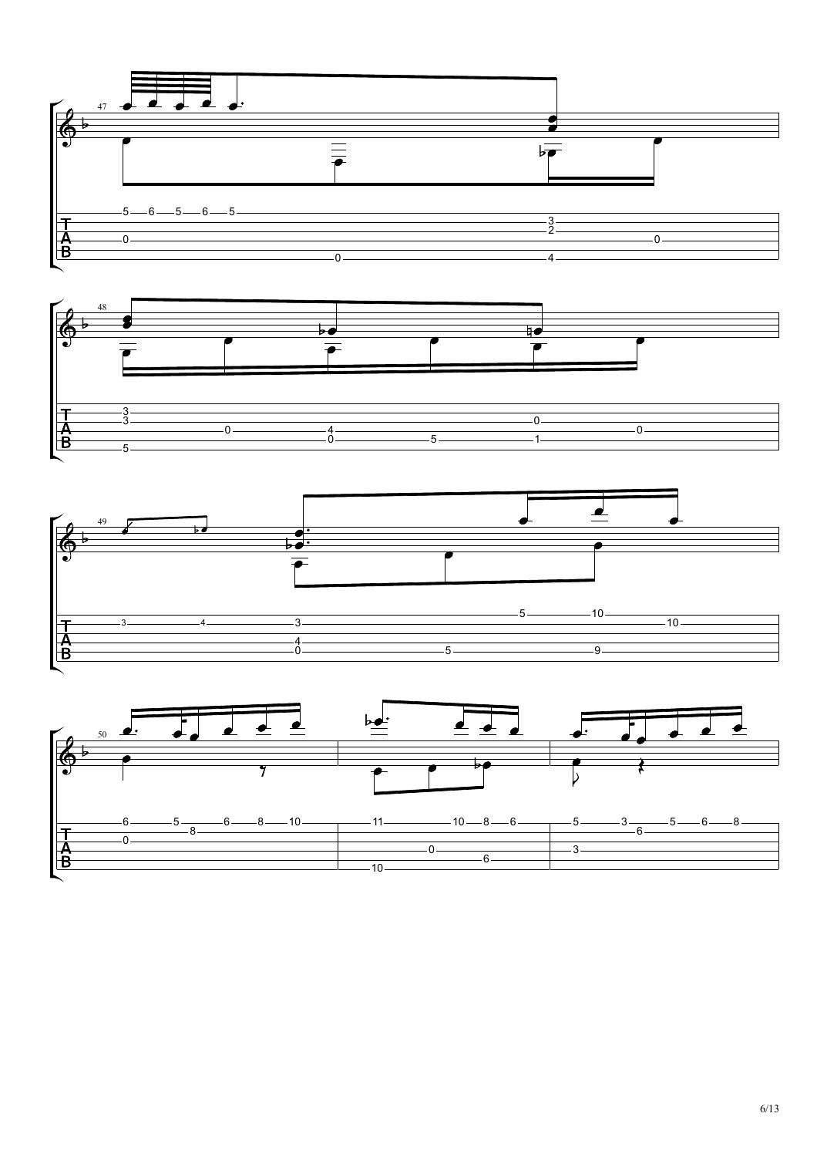





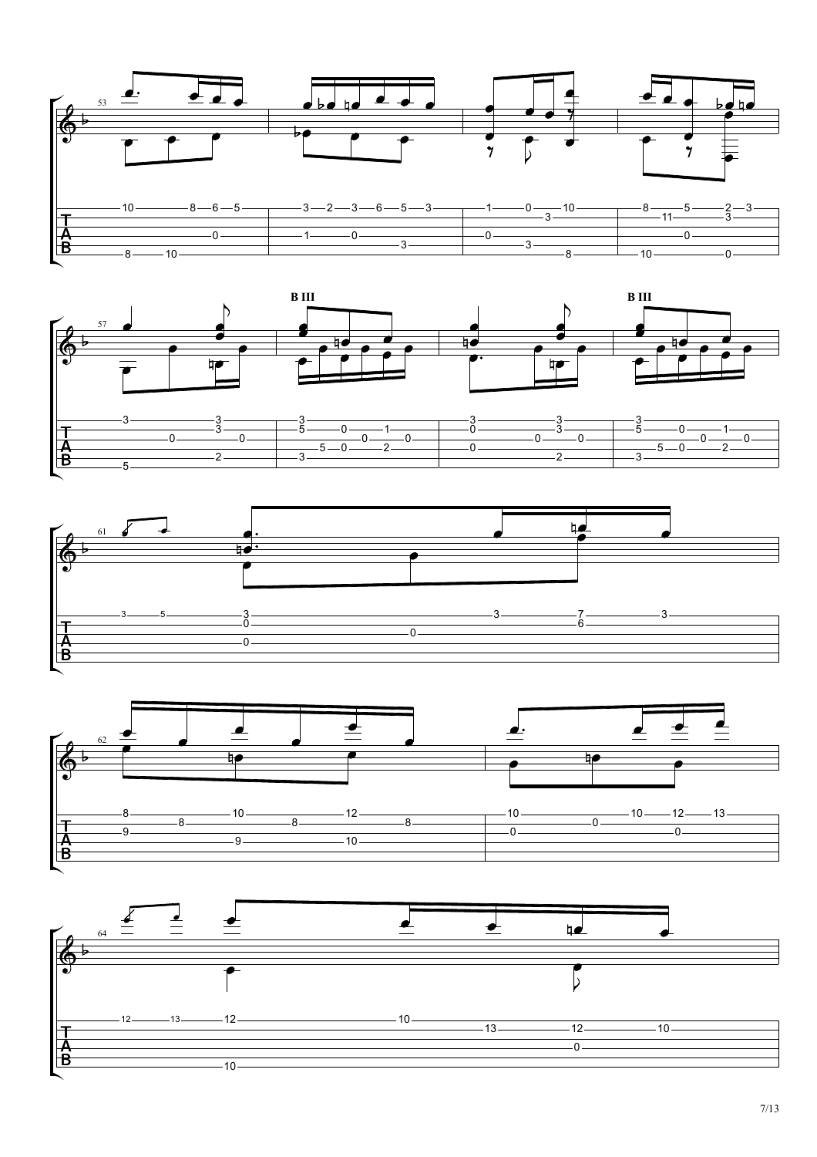







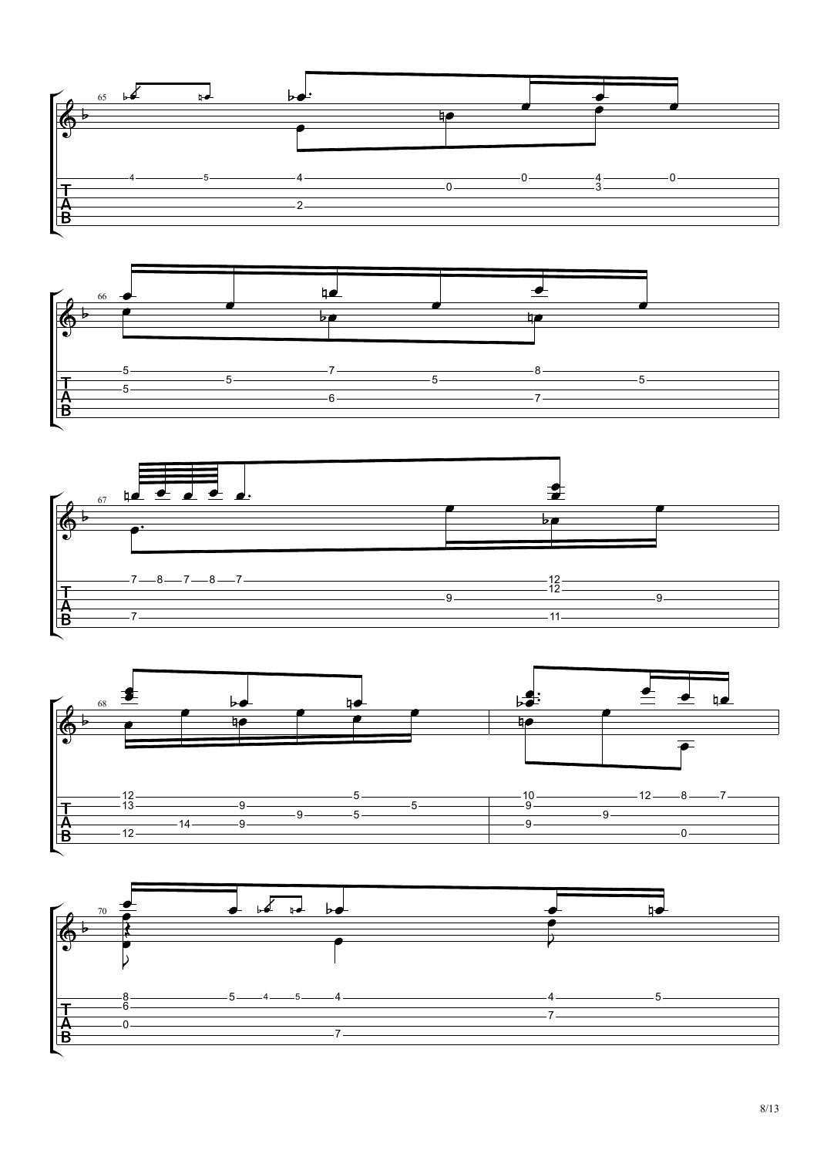







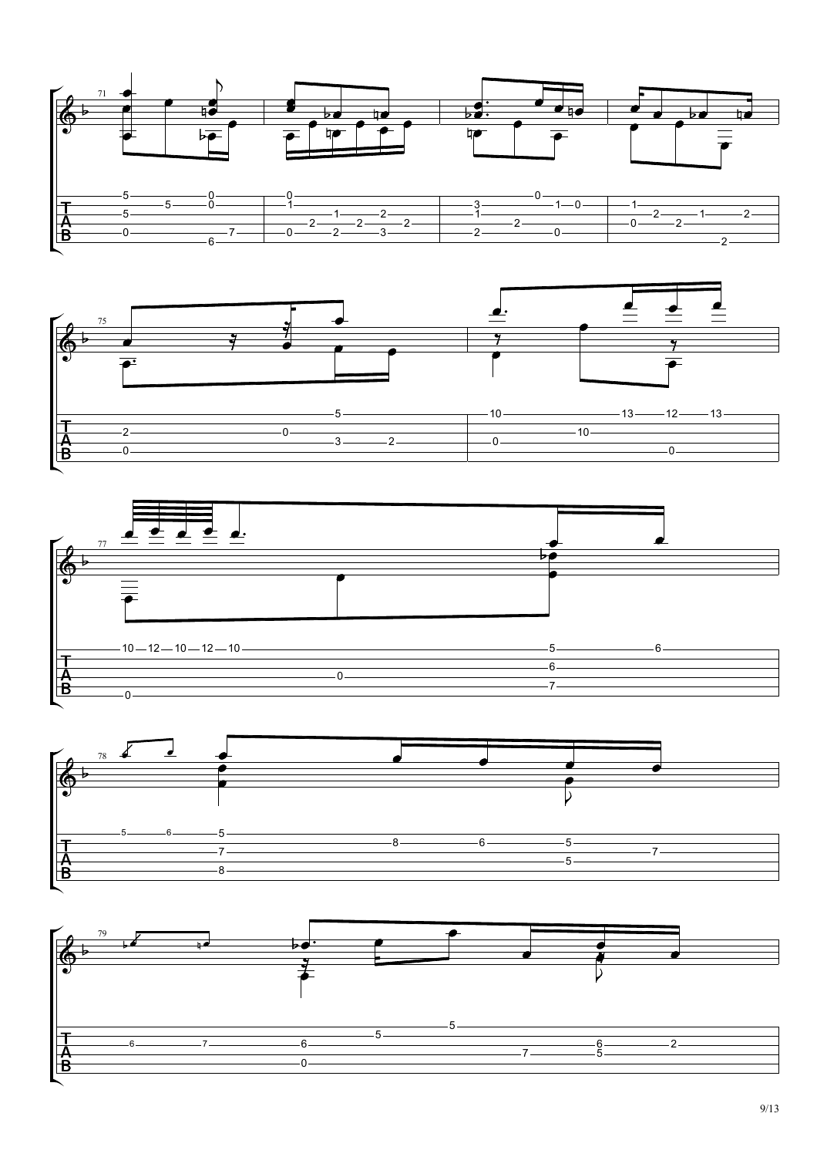







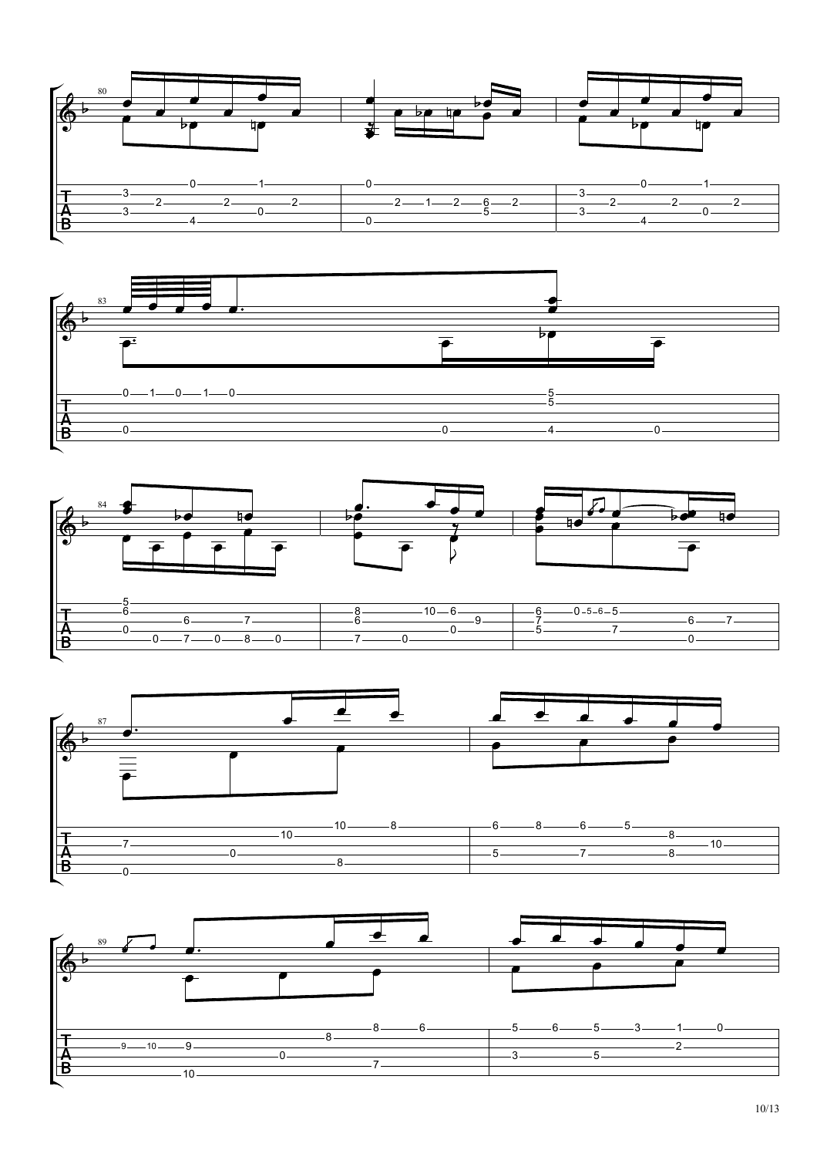







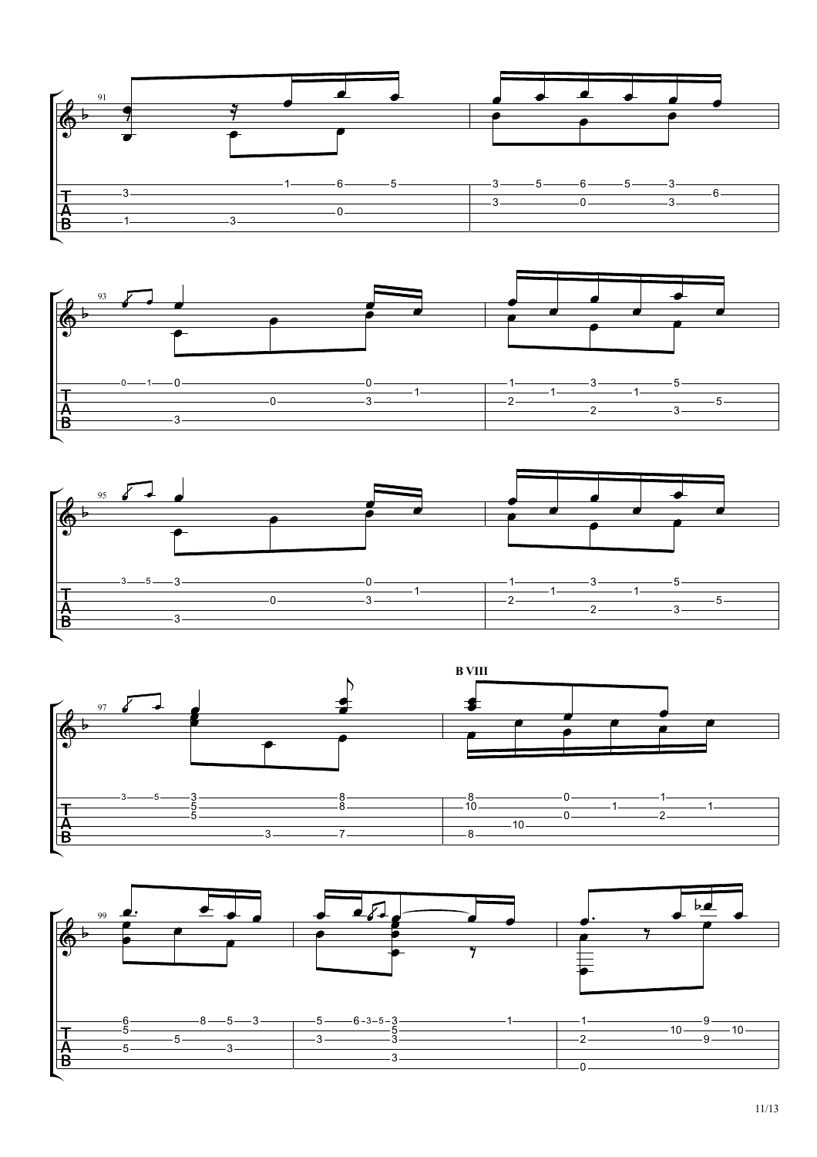







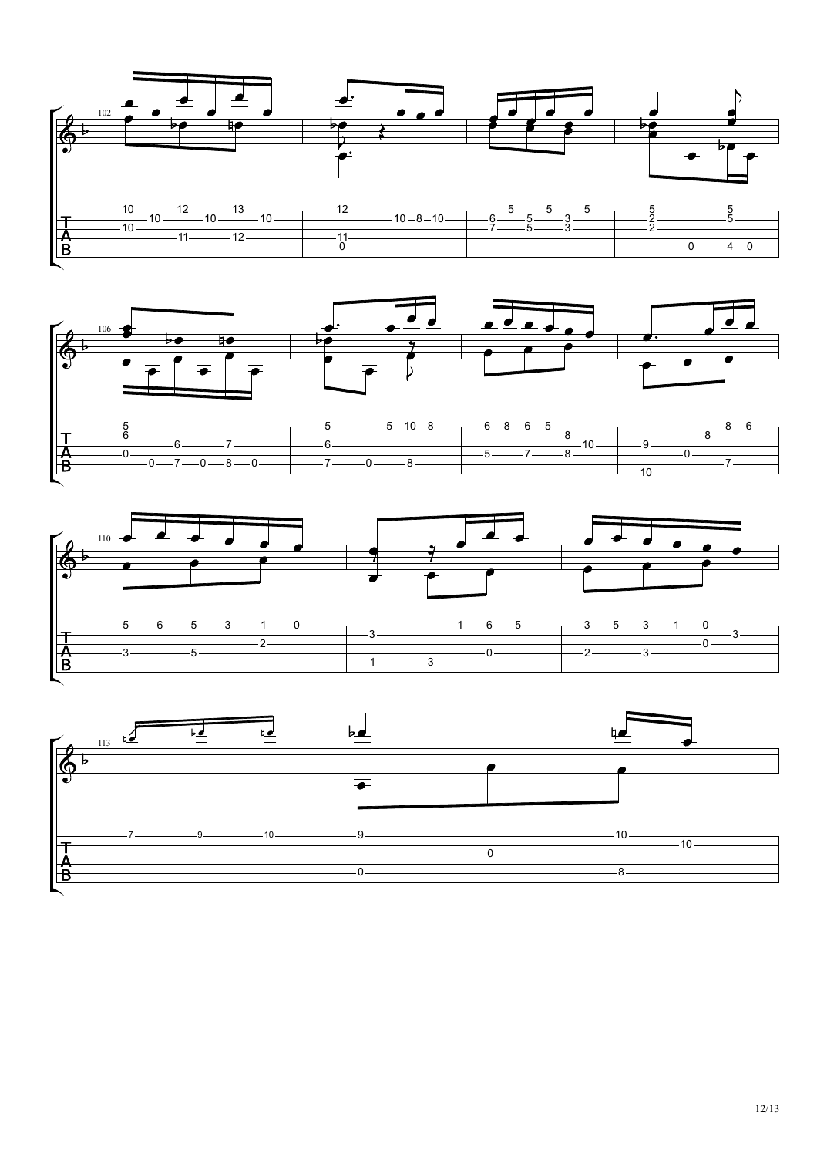